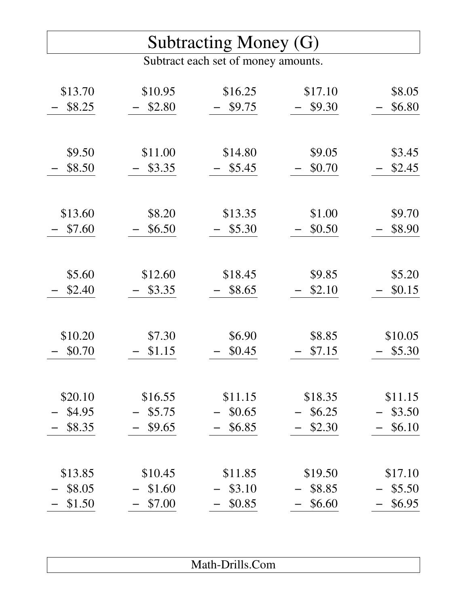## Subtracting Money (G)

Subtract each set of money amounts.

| \$13.70 | \$10.95 | \$16.25 | \$17.10 | \$8.05  |
|---------|---------|---------|---------|---------|
| \$8.25  | \$2.80  | \$9.75  | \$9.30  | \$6.80  |
|         |         |         |         |         |
|         |         |         |         |         |
| \$9.50  | \$11.00 | \$14.80 | \$9.05  | \$3.45  |
| \$8.50  | \$3.35  | \$5.45  | \$0.70  | \$2.45  |
|         |         |         |         |         |
|         |         |         |         |         |
| \$13.60 | \$8.20  | \$13.35 | \$1.00  | \$9.70  |
| \$7.60  | \$6.50  | \$5.30  | \$0.50  | \$8.90  |
|         |         |         |         |         |
|         |         |         |         |         |
| \$5.60  | \$12.60 | \$18.45 | \$9.85  | \$5.20  |
| \$2.40  | \$3.35  | \$8.65  | \$2.10  | \$0.15  |
|         |         |         |         |         |
|         |         |         |         |         |
| \$10.20 | \$7.30  | \$6.90  | \$8.85  | \$10.05 |
| \$0.70  | \$1.15  | \$0.45  | \$7.15  | \$5.30  |
|         |         |         |         |         |
|         |         |         |         |         |
| \$20.10 | \$16.55 | \$11.15 | \$18.35 | \$11.15 |
| \$4.95  | \$5.75  | \$0.65  | \$6.25  | \$3.50  |
| \$8.35  | \$9.65  | \$6.85  | \$2.30  | \$6.10  |
|         |         |         |         |         |
|         |         |         |         |         |
| \$13.85 | \$10.45 | \$11.85 | \$19.50 | \$17.10 |
| \$8.05  | \$1.60  | \$3.10  | \$8.85  | \$5.50  |
| \$1.50  | \$7.00  | \$0.85  | \$6.60  | \$6.95  |

| $M_{\odot}$ $\sim$ 1.<br>Math-Drills.Com |
|------------------------------------------|
|                                          |